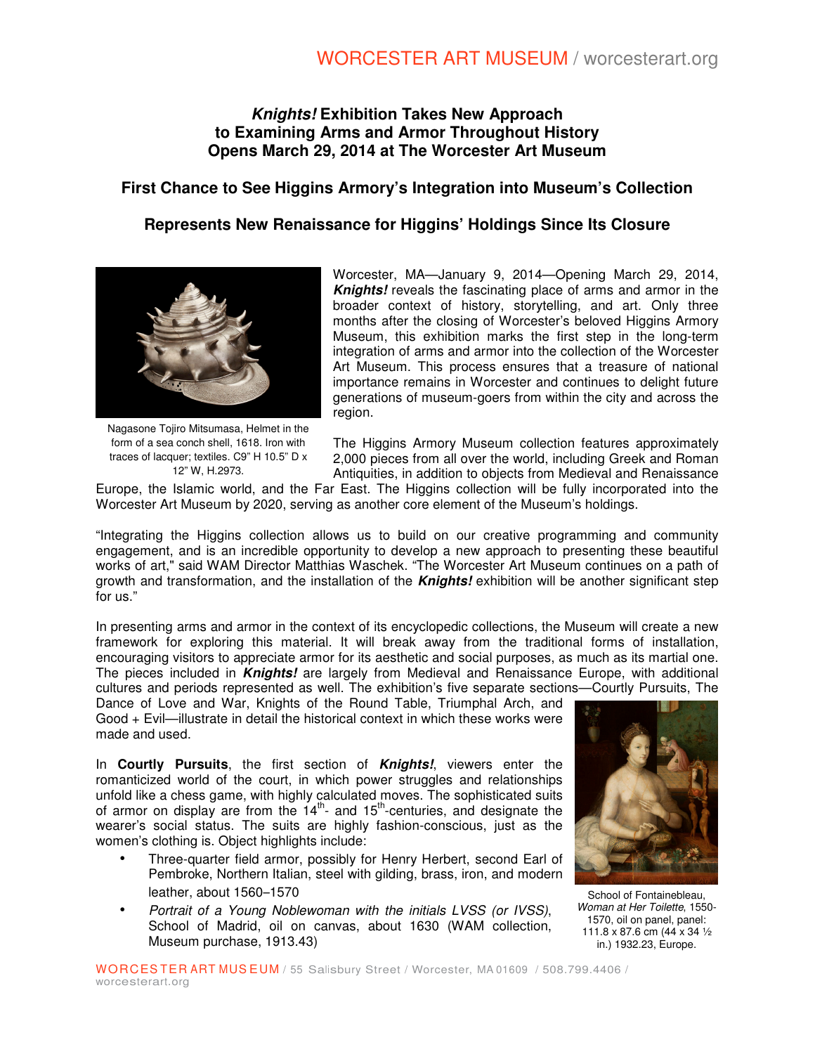## **Knights! Exhibition Takes New Approach to Examining Arms and Armor Throughout History Opens March 29, 2014 at The Worcester Art Museum**

# **First Chance to See Higgins Armory's Integration into Museum's Collection**

## **Represents New Renaissance for Higgins' Holdings Since Its Closure**



Nagasone Tojiro Mitsumasa, Helmet in the form of a sea conch shell, 1618. Iron with traces of lacquer; textiles. C9" H 10.5" D x 12" W, H.2973.

Worcester, MA—January 9, 2014—Opening March 29, 2014, **Knights!** reveals the fascinating place of arms and armor in the broader context of history, storytelling, and art. Only three months after the closing of Worcester's beloved Higgins Armory Museum, this exhibition marks the first step in the long-term integration of arms and armor into the collection of the Worcester Art Museum. This process ensures that a treasure of national importance remains in Worcester and continues to delight future generations of museum-goers from within the city and across the region.

The Higgins Armory Museum collection features approximately 2,000 pieces from all over the world, including Greek and Roman Antiquities, in addition to objects from Medieval and Renaissance

Europe, the Islamic world, and the Far East. The Higgins collection will be fully incorporated into the Worcester Art Museum by 2020, serving as another core element of the Museum's holdings.

"Integrating the Higgins collection allows us to build on our creative programming and community engagement, and is an incredible opportunity to develop a new approach to presenting these beautiful works of art," said WAM Director Matthias Waschek. "The Worcester Art Museum continues on a path of growth and transformation, and the installation of the **Knights!** exhibition will be another significant step for us."

In presenting arms and armor in the context of its encyclopedic collections, the Museum will create a new framework for exploring this material. It will break away from the traditional forms of installation, encouraging visitors to appreciate armor for its aesthetic and social purposes, as much as its martial one. The pieces included in **Knights!** are largely from Medieval and Renaissance Europe, with additional cultures and periods represented as well. The exhibition's five separate sections—Courtly Pursuits, The

Dance of Love and War, Knights of the Round Table, Triumphal Arch, and Good + Evil—illustrate in detail the historical context in which these works were made and used.

In **Courtly Pursuits**, the first section of **Knights!**, viewers enter the romanticized world of the court, in which power struggles and relationships unfold like a chess game, with highly calculated moves. The sophisticated suits of armor on display are from the  $14<sup>th</sup>$ - and  $15<sup>th</sup>$ -centuries, and designate the wearer's social status. The suits are highly fashion-conscious, just as the women's clothing is. Object highlights include:

- Three-quarter field armor, possibly for Henry Herbert, second Earl of Pembroke, Northern Italian, steel with gilding, brass, iron, and modern leather, about 1560–1570
- Portrait of a Young Noblewoman with the initials LVSS (or IVSS), School of Madrid, oil on canvas, about 1630 (WAM collection, Museum purchase, 1913.43)



School of Fontainebleau, Woman at Her Toilette, 1550- 1570, oil on panel, panel: 111.8 x 87.6 cm (44 x 34 ½ in.) 1932.23, Europe.

WORCESTER ART MUSEUM / 55 Salisbury Street / Worcester, MA 01609 / 508.799.4406 / worcesterart.org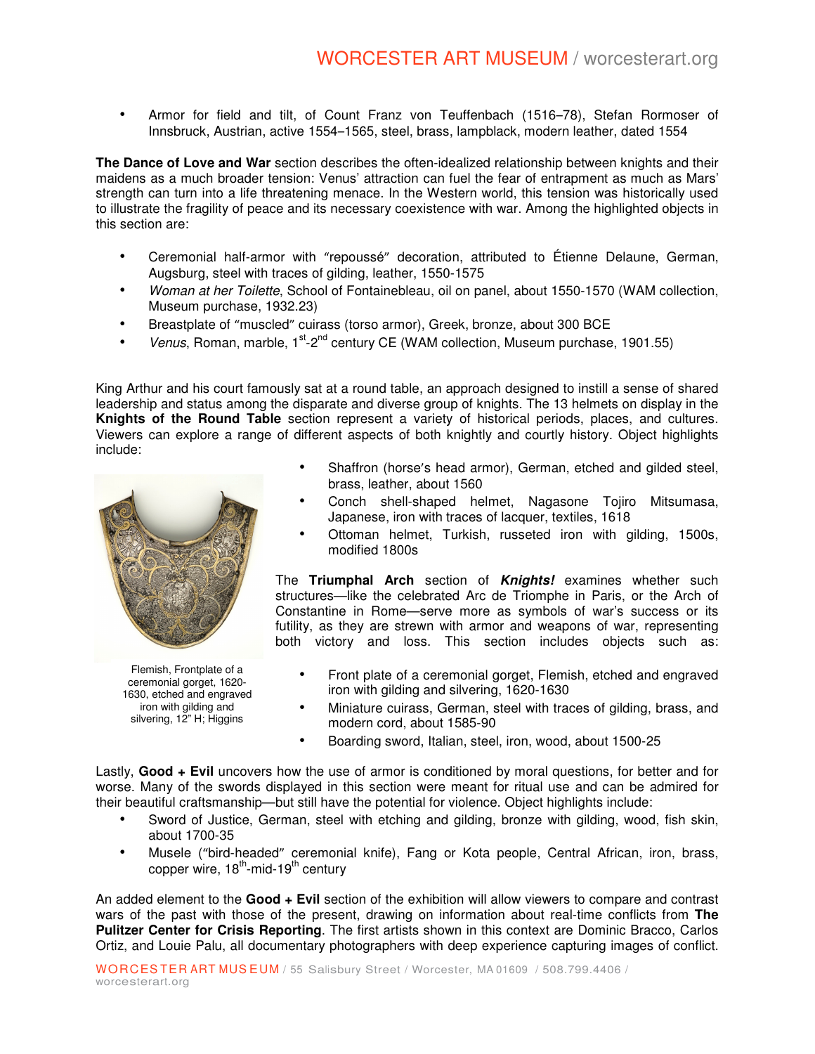• Armor for field and tilt, of Count Franz von Teuffenbach (1516–78), Stefan Rormoser of Innsbruck, Austrian, active 1554–1565, steel, brass, lampblack, modern leather, dated 1554

**The Dance of Love and War** section describes the often-idealized relationship between knights and their maidens as a much broader tension: Venus' attraction can fuel the fear of entrapment as much as Mars' strength can turn into a life threatening menace. In the Western world, this tension was historically used to illustrate the fragility of peace and its necessary coexistence with war. Among the highlighted objects in this section are:

- Ceremonial half-armor with "repoussé" decoration, attributed to Étienne Delaune, German, Augsburg, steel with traces of gilding, leather, 1550-1575
- Woman at her Toilette, School of Fontainebleau, oil on panel, about 1550-1570 (WAM collection, Museum purchase, 1932.23)
- Breastplate of "muscled" cuirass (torso armor), Greek, bronze, about 300 BCE
- Venus, Roman, marble,  $1^{st}$ - $2^{nd}$  century CE (WAM collection, Museum purchase, 1901.55)

King Arthur and his court famously sat at a round table, an approach designed to instill a sense of shared leadership and status among the disparate and diverse group of knights. The 13 helmets on display in the **Knights of the Round Table** section represent a variety of historical periods, places, and cultures. Viewers can explore a range of different aspects of both knightly and courtly history. Object highlights include:



Flemish, Frontplate of a ceremonial gorget, 1620- 1630, etched and engraved iron with gilding and silvering, 12" H; Higgins

- Shaffron (horse's head armor), German, etched and gilded steel, brass, leather, about 1560
- Conch shell-shaped helmet, Nagasone Tojiro Mitsumasa, Japanese, iron with traces of lacquer, textiles, 1618
- Ottoman helmet, Turkish, russeted iron with gilding, 1500s, modified 1800s

The **Triumphal Arch** section of **Knights!** examines whether such structures—like the celebrated Arc de Triomphe in Paris, or the Arch of Constantine in Rome—serve more as symbols of war's success or its futility, as they are strewn with armor and weapons of war, representing both victory and loss. This section includes objects such as:

- Front plate of a ceremonial gorget, Flemish, etched and engraved iron with gilding and silvering, 1620-1630
- Miniature cuirass, German, steel with traces of gilding, brass, and modern cord, about 1585-90
- Boarding sword, Italian, steel, iron, wood, about 1500-25

Lastly, **Good + Evil** uncovers how the use of armor is conditioned by moral questions, for better and for worse. Many of the swords displayed in this section were meant for ritual use and can be admired for their beautiful craftsmanship—but still have the potential for violence. Object highlights include:

- Sword of Justice, German, steel with etching and gilding, bronze with gilding, wood, fish skin, about 1700-35
- Musele ("bird-headed" ceremonial knife), Fang or Kota people, Central African, iron, brass, copper wire,  $18^{th}$ -mid- $19^{th}$  century

An added element to the **Good + Evil** section of the exhibition will allow viewers to compare and contrast wars of the past with those of the present, drawing on information about real-time conflicts from **The Pulitzer Center for Crisis Reporting**. The first artists shown in this context are Dominic Bracco, Carlos Ortiz, and Louie Palu, all documentary photographers with deep experience capturing images of conflict.